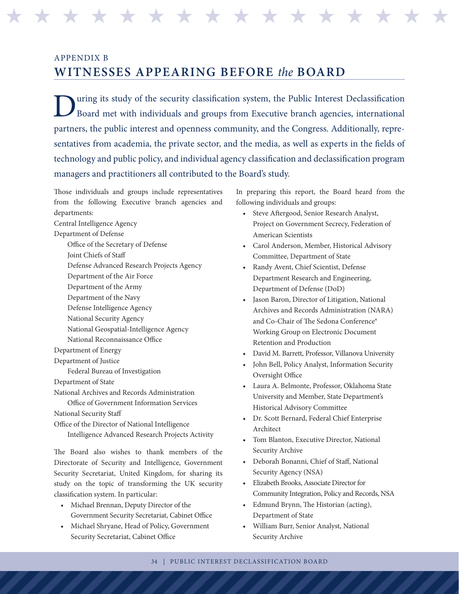## APPENDIX B **WITNESSES APPEARING BEFORE** *the* **BOARD**

During its study of the security classification system, the Public Interest Declassification Board met with individuals and groups from Executive branch agencies, international Board met with individuals and groups from Executive branch agencies, international partners, the public interest and openness community, and the Congress. Additionally, representatives from academia, the private sector, and the media, as well as experts in the fields of technology and public policy, and individual agency classification and declassification program managers and practitioners all contributed to the Board's study.

H H H H H H H H H H H H H H H H H H H H H H H H H H H H H H H H

Those individuals and groups include representatives from the following Executive branch agencies and departments: Central Intelligence Agency Department of Defense Office of the Secretary of Defense Joint Chiefs of Staff Defense Advanced Research Projects Agency Department of the Air Force Department of the Army Department of the Navy Defense Intelligence Agency National Security Agency National Geospatial-Intelligence Agency National Reconnaissance Office Department of Energy Department of Justice Federal Bureau of Investigation Department of State National Archives and Records Administration Office of Government Information Services National Security Staff Office of the Director of National Intelligence Intelligence Advanced Research Projects Activity

The Board also wishes to thank members of the Directorate of Security and Intelligence, Government Security Secretariat, United Kingdom, for sharing its study on the topic of transforming the UK security classification system. In particular:

- • Michael Brennan, Deputy Director of the Government Security Secretariat, Cabinet Office
- • Michael Shryane, Head of Policy, Government Security Secretariat, Cabinet Office

In preparing this report, the Board heard from the following individuals and groups:

- • Steve Aftergood, Senior Research Analyst, Project on Government Secrecy, Federation of American Scientists
- • Carol Anderson, Member, Historical Advisory Committee, Department of State
- • Randy Avent, Chief Scientist, Defense Department Research and Engineering, Department of Defense (DoD)
- Jason Baron, Director of Litigation, National Archives and Records Administration (NARA) and Co-Chair of The Sedona Conference® Working Group on Electronic Document Retention and Production
- • David M. Barrett, Professor, Villanova University
- John Bell, Policy Analyst, Information Security Oversight Office
- • Laura A. Belmonte, Professor, Oklahoma State University and Member, State Department's Historical Advisory Committee
- • Dr. Scott Bernard, Federal Chief Enterprise Architect
- • Tom Blanton, Executive Director, National Security Archive
- • Deborah Bonanni, Chief of Staff, National Security Agency (NSA)
- Elizabeth Brooks, Associate Director for Community Integration, Policy and Records, NSA
- • Edmund Brynn, The Historian (acting), Department of State
- • William Burr, Senior Analyst, National Security Archive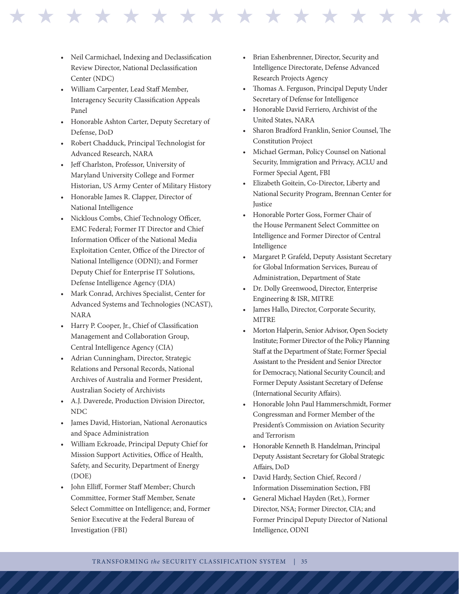• Neil Carmichael, Indexing and Declassification Review Director, National Declassification Center (NDC)

\* \* \* \* \* \* \* \* \* \* \* \* \* \* \* \* \*

- • William Carpenter, Lead Staff Member, Interagency Security Classification Appeals Panel
- • Honorable Ashton Carter, Deputy Secretary of Defense, DoD
- • Robert Chadduck, Principal Technologist for Advanced Research, NARA
- • Jeff Charlston, Professor, University of Maryland University College and Former Historian, US Army Center of Military History
- Honorable James R. Clapper, Director of National Intelligence
- • Nicklous Combs, Chief Technology Officer, EMC Federal; Former IT Director and Chief Information Officer of the National Media Exploitation Center, Office of the Director of National Intelligence (ODNI); and Former Deputy Chief for Enterprise IT Solutions, Defense Intelligence Agency (DIA)
- Mark Conrad, Archives Specialist, Center for Advanced Systems and Technologies (NCAST), NARA
- • Harry P. Cooper, Jr., Chief of Classification Management and Collaboration Group, Central Intelligence Agency (CIA)
- • Adrian Cunningham, Director, Strategic Relations and Personal Records, National Archives of Australia and Former President, Australian Society of Archivists
- • A.J. Daverede, Production Division Director, NDC
- • James David, Historian, National Aeronautics and Space Administration
- • William Eckroade, Principal Deputy Chief for Mission Support Activities, Office of Health, Safety, and Security, Department of Energy (DOE)
- • John Elliff, Former Staff Member; Church Committee, Former Staff Member, Senate Select Committee on Intelligence; and, Former Senior Executive at the Federal Bureau of Investigation (FBI)
- Brian Eshenbrenner, Director, Security and Intelligence Directorate, Defense Advanced Research Projects Agency
- • Thomas A. Ferguson, Principal Deputy Under Secretary of Defense for Intelligence
- Honorable David Ferriero, Archivist of the United States, NARA
- • Sharon Bradford Franklin, Senior Counsel, The Constitution Project
- Michael German, Policy Counsel on National Security, Immigration and Privacy, ACLU and Former Special Agent, FBI
- Elizabeth Goitein, Co-Director, Liberty and National Security Program, Brennan Center for *<u>Iustice</u>*
- • Honorable Porter Goss, Former Chair of the House Permanent Select Committee on Intelligence and Former Director of Central Intelligence
- • Margaret P. Grafeld, Deputy Assistant Secretary for Global Information Services, Bureau of Administration, Department of State
- • Dr. Dolly Greenwood, Director, Enterprise Engineering & ISR, MITRE
- James Hallo, Director, Corporate Security, MITRE
- Morton Halperin, Senior Advisor, Open Society Institute; Former Director of the Policy Planning Staff at the Department of State; Former Special Assistant to the President and Senior Director for Democracy, National Security Council; and Former Deputy Assistant Secretary of Defense (International Security Affairs).
- Honorable John Paul Hammerschmidt, Former Congressman and Former Member of the President's Commission on Aviation Security and Terrorism
- • Honorable Kenneth B. Handelman, Principal Deputy Assistant Secretary for Global Strategic Affairs, DoD
- • David Hardy, Section Chief, Record / Information Dissemination Section, FBI
- General Michael Hayden (Ret.), Former Director, NSA; Former Director, CIA; and Former Principal Deputy Director of National Intelligence, ODNI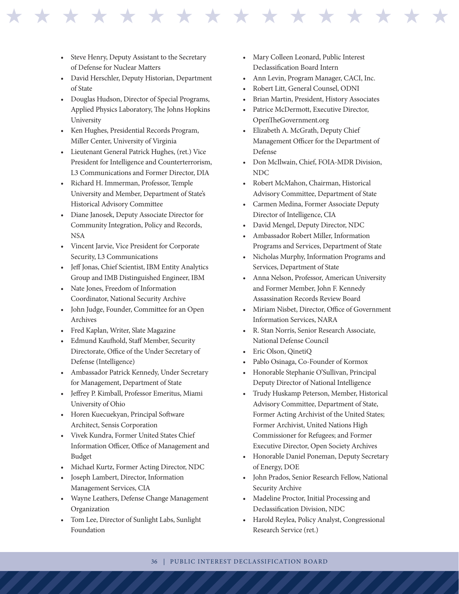- Steve Henry, Deputy Assistant to the Secretary of Defense for Nuclear Matters
- David Herschler, Deputy Historian, Department of State
- • Douglas Hudson, Director of Special Programs, Applied Physics Laboratory, The Johns Hopkins University
- • Ken Hughes, Presidential Records Program, Miller Center, University of Virginia
- Lieutenant General Patrick Hughes, (ret.) Vice President for Intelligence and Counterterrorism, L3 Communications and Former Director, DIA
- Richard H. Immerman, Professor, Temple University and Member, Department of State's Historical Advisory Committee
- Diane Janosek, Deputy Associate Director for Community Integration, Policy and Records, NSA
- • Vincent Jarvie, Vice President for Corporate Security, L3 Communications
- Jeff Jonas, Chief Scientist, IBM Entity Analytics Group and IMB Distinguished Engineer, IBM
- • Nate Jones, Freedom of Information Coordinator, National Security Archive
- • John Judge, Founder, Committee for an Open Archives
- Fred Kaplan, Writer, Slate Magazine
- Edmund Kaufhold, Staff Member, Security Directorate, Office of the Under Secretary of Defense (Intelligence)
- Ambassador Patrick Kennedy, Under Secretary for Management, Department of State
- Jeffrey P. Kimball, Professor Emeritus, Miami University of Ohio
- • Horen Kuecuekyan, Principal Software Architect, Sensis Corporation
- Vivek Kundra, Former United States Chief Information Officer, Office of Management and Budget
- Michael Kurtz, Former Acting Director, NDC
- • Joseph Lambert, Director, Information Management Services, CIA
- Wayne Leathers, Defense Change Management Organization
- Tom Lee, Director of Sunlight Labs, Sunlight Foundation
- Mary Colleen Leonard, Public Interest Declassification Board Intern
- Ann Levin, Program Manager, CACI, Inc.

\* \* \* \* \* \* \* \* \* \* \* \* \* \* \* \* \*

- Robert Litt, General Counsel, ODNI
- Brian Martin, President, History Associates
- • Patrice McDermott, Executive Director, OpenTheGovernment.org
- • Elizabeth A. McGrath, Deputy Chief Management Officer for the Department of Defense
- • Don McIlwain, Chief, FOIA-MDR Division, NDC
- • Robert McMahon, Chairman, Historical Advisory Committee, Department of State
- Carmen Medina, Former Associate Deputy Director of Intelligence, CIA
- David Mengel, Deputy Director, NDC
- Ambassador Robert Miller, Information Programs and Services, Department of State
- • Nicholas Murphy, Information Programs and Services, Department of State
- Anna Nelson, Professor, American University and Former Member, John F. Kennedy Assassination Records Review Board
- Miriam Nisbet, Director, Office of Government Information Services, NARA
- R. Stan Norris, Senior Research Associate, National Defense Council
- • Eric Olson, QinetiQ
- Pablo Osinaga, Co-Founder of Kormox
- Honorable Stephanie O'Sullivan, Principal Deputy Director of National Intelligence
- Trudy Huskamp Peterson, Member, Historical Advisory Committee, Department of State, Former Acting Archivist of the United States; Former Archivist, United Nations High Commissioner for Refugees; and Former Executive Director, Open Society Archives
- • Honorable Daniel Poneman, Deputy Secretary of Energy, DOE
- • John Prados, Senior Research Fellow, National Security Archive
- Madeline Proctor, Initial Processing and Declassification Division, NDC
- • Harold Reylea, Policy Analyst, Congressional Research Service (ret.)